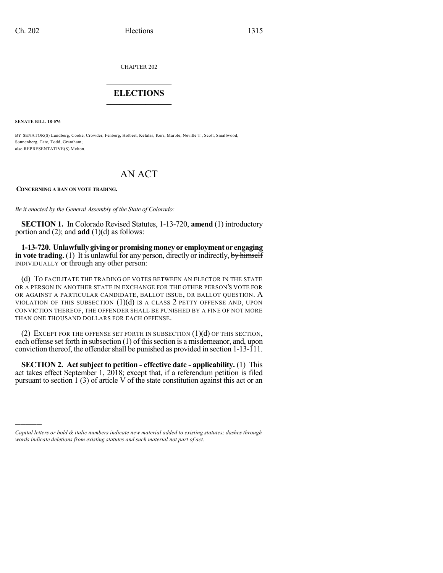CHAPTER 202

## $\overline{\phantom{a}}$  . The set of the set of the set of the set of the set of the set of the set of the set of the set of the set of the set of the set of the set of the set of the set of the set of the set of the set of the set o **ELECTIONS**  $\_$

**SENATE BILL 18-076**

)))))

BY SENATOR(S) Lundberg, Cooke, Crowder, Fenberg, Holbert, Kefalas, Kerr, Marble, Neville T., Scott, Smallwood, Sonnenberg, Tate, Todd, Grantham; also REPRESENTATIVE(S) Melton.

## AN ACT

## **CONCERNING A BAN ON VOTE TRADING.**

*Be it enacted by the General Assembly of the State of Colorado:*

**SECTION 1.** In Colorado Revised Statutes, 1-13-720, **amend** (1) introductory portion and (2); and **add** (1)(d) as follows:

**1-13-720. Unlawfullygivingorpromisingmoneyor employment or engaging in vote trading.** (1) It is unlawful for any person, directly or indirectly, by himself INDIVIDUALLY or through any other person:

(d) TO FACILITATE THE TRADING OF VOTES BETWEEN AN ELECTOR IN THE STATE OR A PERSON IN ANOTHER STATE IN EXCHANGE FOR THE OTHER PERSON'S VOTE FOR OR AGAINST A PARTICULAR CANDIDATE, BALLOT ISSUE, OR BALLOT QUESTION. A VIOLATION OF THIS SUBSECTION  $(1)(d)$  is a class 2 petty offense and, upon CONVICTION THEREOF, THE OFFENDER SHALL BE PUNISHED BY A FINE OF NOT MORE THAN ONE THOUSAND DOLLARS FOR EACH OFFENSE.

(2) EXCEPT FOR THE OFFENSE SET FORTH IN SUBSECTION  $(1)(d)$  OF THIS SECTION, each offense set forth in subsection  $(1)$  of this section is a misdemeanor, and, upon conviction thereof, the offender shall be punished as provided in section 1-13-111.

**SECTION 2. Act subject to petition - effective date - applicability.** (1) This act takes effect September 1, 2018; except that, if a referendum petition is filed pursuant to section 1 (3) of article V of the state constitution against this act or an

*Capital letters or bold & italic numbers indicate new material added to existing statutes; dashes through words indicate deletions from existing statutes and such material not part of act.*